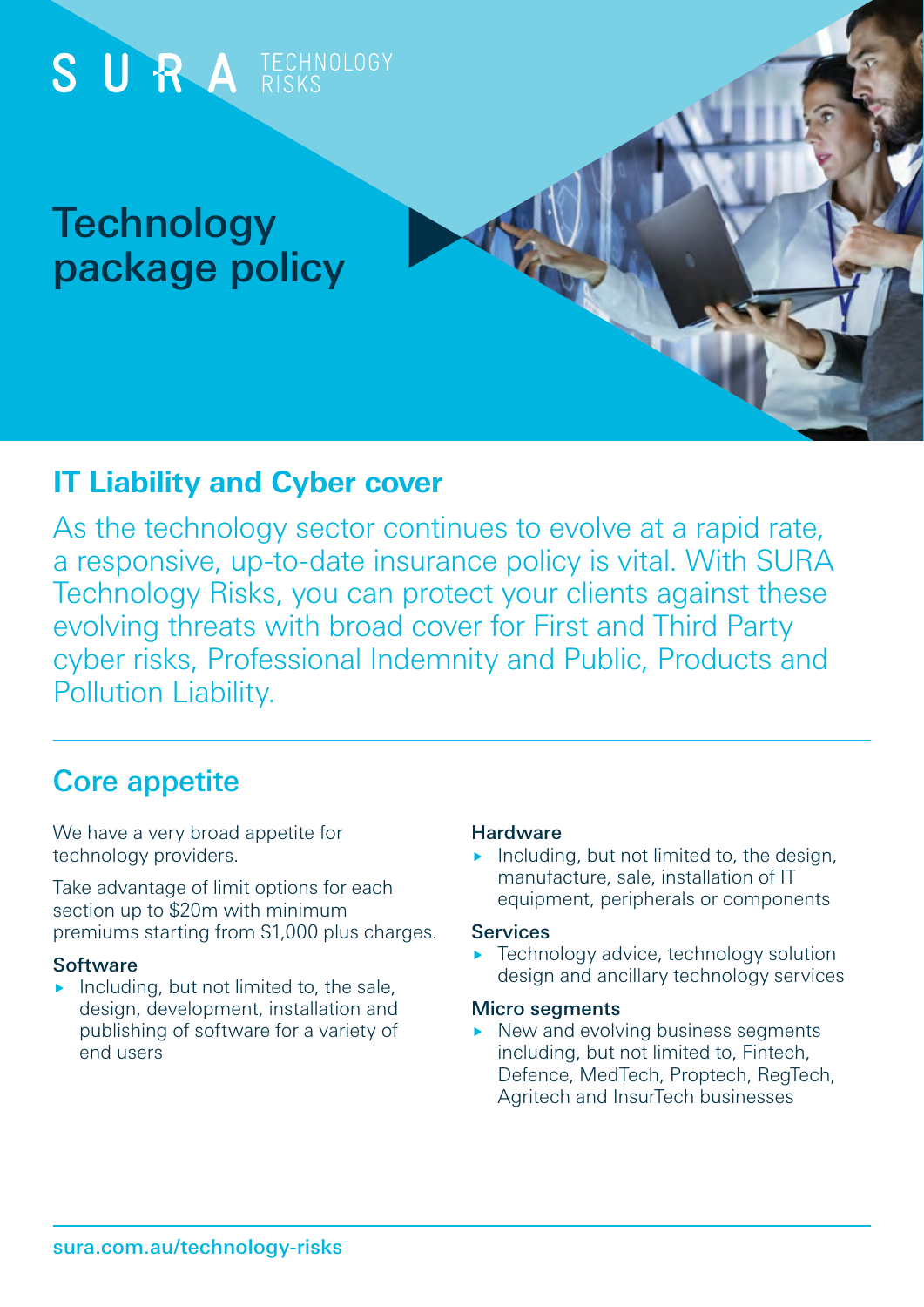

# **IT Liability and Cyber cover**

As the technology sector continues to evolve at a rapid rate, a responsive, up-to-date insurance policy is vital. With SURA Technology Risks, you can protect your clients against these evolving threats with broad cover for First and Third Party cyber risks, Professional Indemnity and Public, Products and Pollution Liability.

# Core appetite

We have a very broad appetite for technology providers.

Take advantage of limit options for each section up to \$20m with minimum premiums starting from \$1,000 plus charges.

# **Software**

Including, but not limited to, the sale, design, development, installation and publishing of software for a variety of end users

### **Hardware**

Including, but not limited to, the design, manufacture, sale, installation of IT equipment, peripherals or components

### **Services**

**Fechnology advice, technology solution** design and ancillary technology services

### Micro segments

 $\triangleright$  New and evolving business segments including, but not limited to, Fintech, Defence, MedTech, Proptech, RegTech, Agritech and InsurTech businesses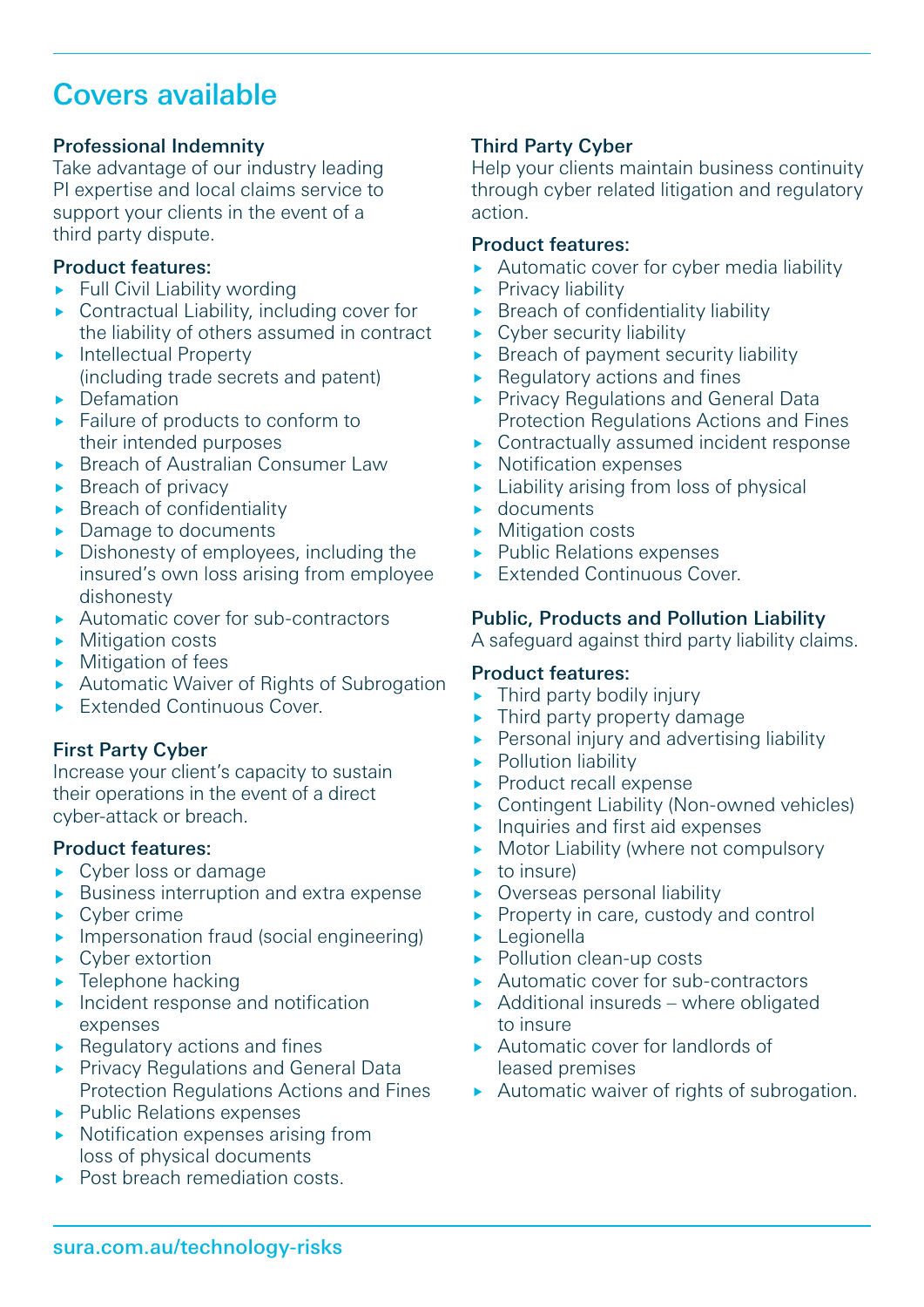# Covers available

## Professional Indemnity

Take advantage of our industry leading PI expertise and local claims service to support your clients in the event of a third party dispute.

### Product features:

- $\blacktriangleright$  Full Civil Liability wording
- ▶ Contractual Liability, including cover for the liability of others assumed in contract
- **Intellectual Property** (including trade secrets and patent)
- $\triangleright$  Defamation
- ▶ Failure of products to conform to their intended purposes
- ▶ Breach of Australian Consumer Law
- $\triangleright$  Breach of privacy
- **Breach of confidentiality**
- ▶ Damage to documents
- Dishonesty of employees, including the insured's own loss arising from employee dishonesty
- Automatic cover for sub-contractors
- **Mitigation costs**
- $\blacktriangleright$  Mitigation of fees
- **Automatic Waiver of Rights of Subrogation**
- Extended Continuous Cover.

# First Party Cyber

Increase your client's capacity to sustain their operations in the event of a direct cyber-attack or breach.

### Product features:

- ► Cyber loss or damage
- Business interruption and extra expense
- $\blacktriangleright$  Cyber crime
- **Impersonation fraud (social engineering)**
- Cyber extortion
- $\blacktriangleright$  Telephone hacking
- $\blacktriangleright$  Incident response and notification expenses
- $\blacktriangleright$  Regulatory actions and fines
- **Privacy Regulations and General Data** Protection Regulations Actions and Fines
- $\blacktriangleright$  Public Relations expenses
- $\triangleright$  Notification expenses arising from loss of physical documents
- ▶ Post breach remediation costs.

## Third Party Cyber

Help your clients maintain business continuity through cyber related litigation and regulatory action.

#### Product features:

- Automatic cover for cyber media liability
- $\blacktriangleright$  Privacy liability
- $\triangleright$  Breach of confidentiality liability
- Cyber security liability
- $\triangleright$  Breach of payment security liability
- $\blacktriangleright$  Regulatory actions and fines
- ▶ Privacy Regulations and General Data Protection Regulations Actions and Fines
- ▶ Contractually assumed incident response
- Notification expenses
- $\blacktriangleright$  Liability arising from loss of physical
- documents
- **Mitigation costs**
- ▶ Public Relations expenses
- Extended Continuous Cover.

### Public, Products and Pollution Liability

A safeguard against third party liability claims.

# Product features:

- $\blacktriangleright$  Third party bodily injury
- Third party property damage
- **Personal injury and advertising liability**
- **Pollution liability**
- Product recall expense
- Contingent Liability (Non-owned vehicles)
- Inquiries and first aid expenses
- Motor Liability (where not compulsory
- to insure)
- Overseas personal liability
- Property in care, custody and control
- **Legionella**
- Pollution clean-up costs
- ▶ Automatic cover for sub-contractors
- $\blacktriangleright$  Additional insureds where obligated to insure
- Automatic cover for landlords of leased premises
- Automatic waiver of rights of subrogation.